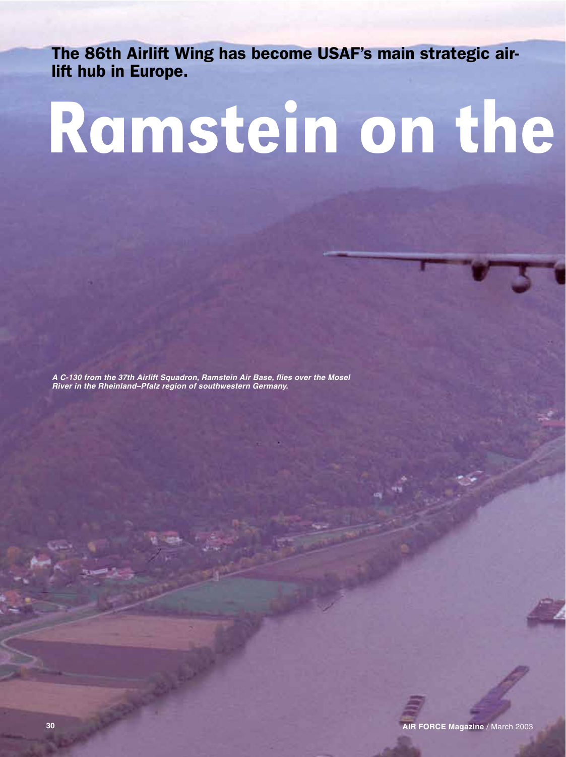The 86th Airlift Wing has become USAF's main strategic airlift hub in Europe.

## Ramstein on the

*A C-130 from the 37th Airlift Squadron, Ramstein Air Base, flies over the Mosel River in the Rheinland–Pfalz region of southwestern Germany.*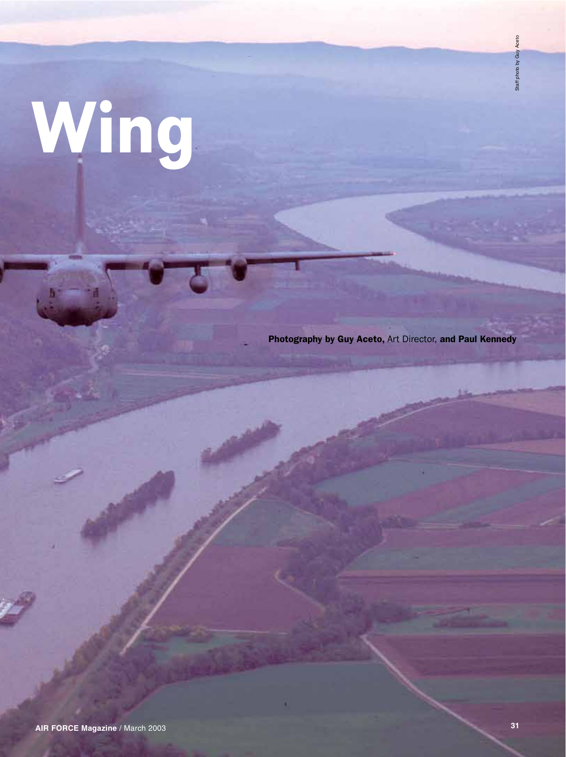## Wing

Photography by Guy Aceto, Art Director, and Paul Kennedy

Staff photo by Guy Aceto Staff photo by Guy Aceto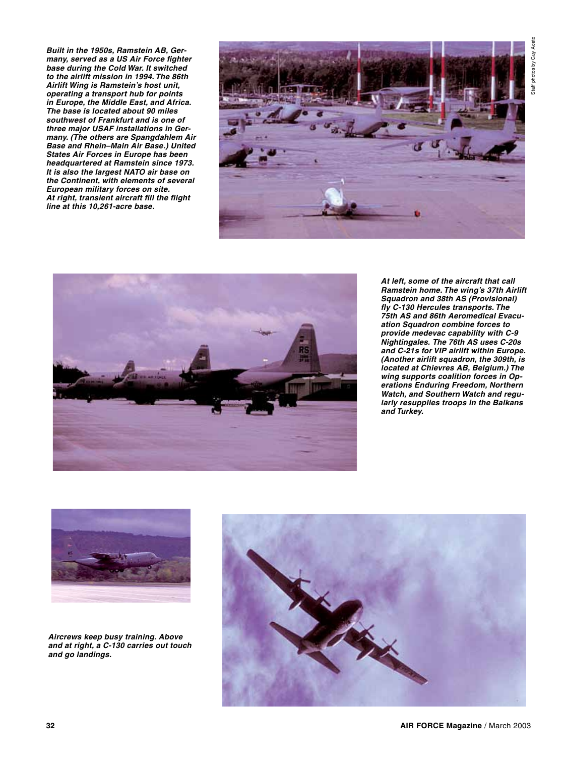*Built in the 1950s, Ramstein AB, Germany, served as a US Air Force fighter base during the Cold War. It switched to the airlift mission in 1994. The 86th Airlift Wing is Ramstein's host unit, operating a transport hub for points in Europe, the Middle East, and Africa. The base is located about 90 miles southwest of Frankfurt and is one of three major USAF installations in Germany. (The others are Spangdahlem Air Base and Rhein–Main Air Base.) United States Air Forces in Europe has been headquartered at Ramstein since 1973. It is also the largest NATO air base on the Continent, with elements of several European military forces on site. At right, transient aircraft fill the flight line at this 10,261-acre base.*





*At left, some of the aircraft that call Ramstein home. The wing's 37th Airlift Squadron and 38th AS (Provisional) fly C-130 Hercules transports. The 75th AS and 86th Aeromedical Evacuation Squadron combine forces to provide medevac capability with C-9 Nightingales. The 76th AS uses C-20s and C-21s for VIP airlift within Europe. (Another airlift squadron, the 309th, is located at Chievres AB, Belgium.) The wing supports coalition forces in Operations Enduring Freedom, Northern Watch, and Southern Watch and regularly resupplies troops in the Balkans and Turkey.*



*Aircrews keep busy training. Above and at right, a C-130 carries out touch and go landings.*

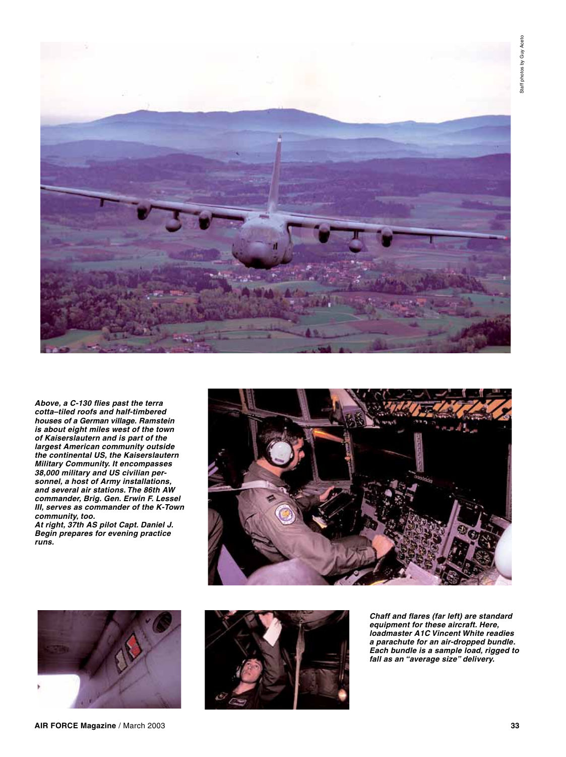

*Above, a C-130 flies past the terra cotta–tiled roofs and half-timbered houses of a German village. Ramstein is about eight miles west of the town of Kaiserslautern and is part of the largest American community outside the continental US, the Kaiserslautern Military Community. It encompasses 38,000 military and US civilian personnel, a host of Army installations, and several air stations. The 86th AW commander, Brig. Gen. Erwin F. Lessel III, serves as commander of the K-Town community, too.*

*At right, 37th AS pilot Capt. Daniel J. Begin prepares for evening practice runs.* 







*Chaff and flares (far left) are standard equipment for these aircraft. Here, loadmaster A1C Vincent White readies a parachute for an air-dropped bundle. Each bundle is a sample load, rigged to fall as an "average size" delivery.*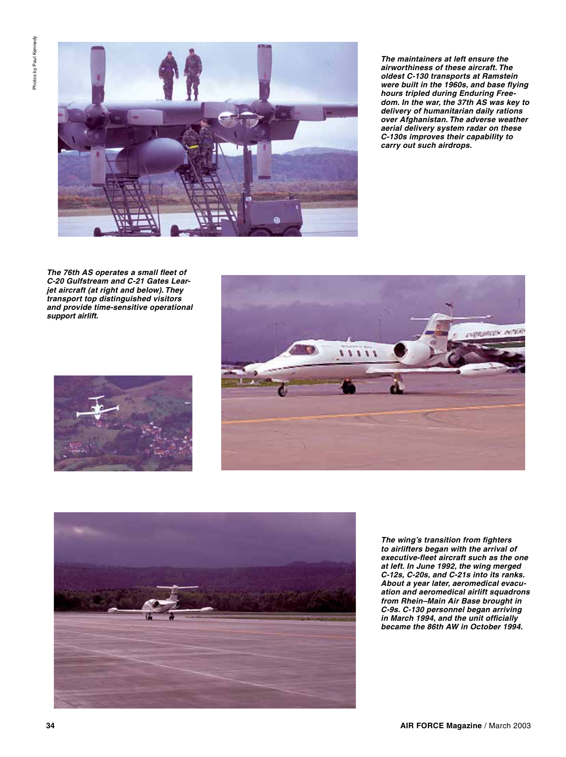

*The maintainers at left ensure the airworthiness of these aircraft. The oldest C-130 transports at Ramstein were built in the 1960s, and base flying hours tripled during Enduring Freedom. In the war, the 37th AS was key to delivery of humanitarian daily rations over Afghanistan. The adverse weather aerial delivery system radar on these C-130s improves their capability to carry out such airdrops.* 

*The 76th AS operates a small fleet of C-20 Gulfstream and C-21 Gates Learjet aircraft (at right and below). They transport top distinguished visitors and provide time-sensitive operational support airlift.* 







*The wing's transition from fighters to airlifters began with the arrival of executive-fleet aircraft such as the one at left. In June 1992, the wing merged C-12s, C-20s, and C-21s into its ranks. About a year later, aeromedical evacuation and aeromedical airlift squadrons from Rhein–Main Air Base brought in C-9s. C-130 personnel began arriving in March 1994, and the unit officially became the 86th AW in October 1994.*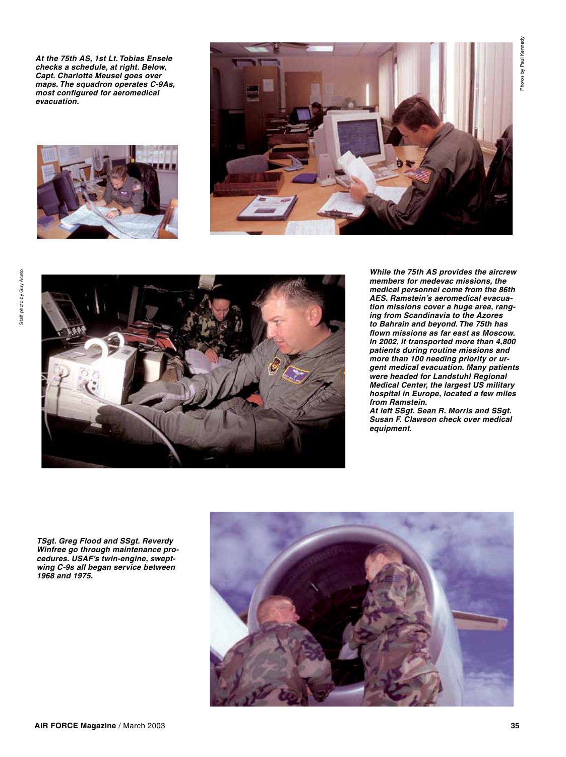Photos by Paul Kennedy Photos by Paul Kennedy

*At the 75th AS, 1st Lt. Tobias Ensele checks a schedule, at right. Below, Capt. Charlotte Meusel goes over maps. The squadron operates C-9As, most configured for aeromedical evacuation.* 

![](_page_5_Picture_2.jpeg)

![](_page_5_Picture_3.jpeg)

![](_page_5_Picture_5.jpeg)

*While the 75th AS provides the aircrew members for medevac missions, the medical personnel come from the 86th AES. Ramstein's aeromedical evacuation missions cover a huge area, ranging from Scandinavia to the Azores to Bahrain and beyond. The 75th has flown missions as far east as Moscow. In 2002, it transported more than 4,800 patients during routine missions and more than 100 needing priority or urgent medical evacuation. Many patients were headed for Landstuhl Regional Medical Center, the largest US military hospital in Europe, located a few miles from Ramstein.* 

*At left SSgt. Sean R. Morris and SSgt. Susan F. Clawson check over medical equipment.*

*TSgt. Greg Flood and SSgt. Reverdy Winfree go through maintenance procedures. USAF's twin-engine, sweptwing C-9s all began service between 1968 and 1975.*

![](_page_5_Picture_9.jpeg)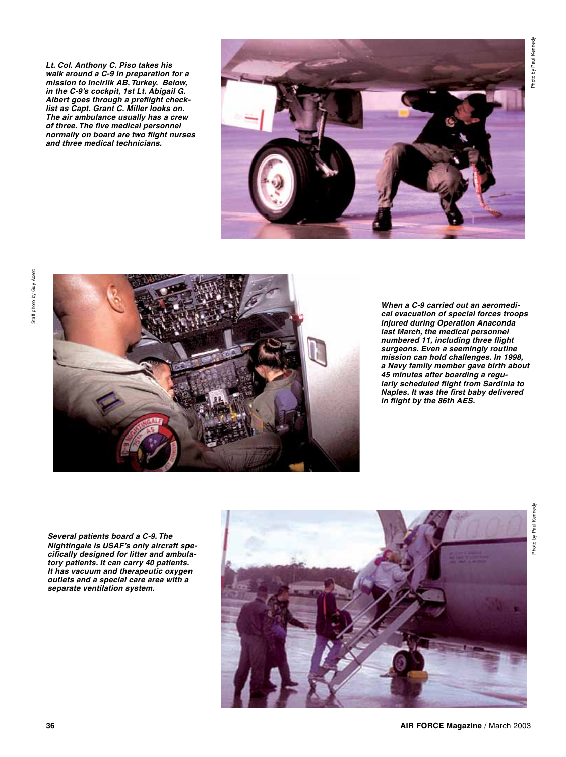*Lt. Col. Anthony C. Piso takes his walk around a C-9 in preparation for a mission to Incirlik AB, Turkey. Below, in the C-9's cockpit, 1st Lt. Abigail G. Albert goes through a preflight checklist as Capt. Grant C. Miller looks on. The air ambulance usually has a crew of three. The five medical personnel normally on board are two flight nurses and three medical technicians.*

![](_page_6_Picture_2.jpeg)

![](_page_6_Picture_4.jpeg)

*When a C-9 carried out an aeromedical evacuation of special forces troops injured during Operation Anaconda last March, the medical personnel numbered 11, including three flight surgeons. Even a seemingly routine mission can hold challenges. In 1998, a Navy family member gave birth about 45 minutes after boarding a regularly scheduled flight from Sardinia to Naples. It was the first baby delivered in flight by the 86th AES.*

*Several patients board a C-9. The Nightingale is USAF's only aircraft specifically designed for litter and ambulatory patients. It can carry 40 patients. It has vacuum and therapeutic oxygen outlets and a special care area with a separate ventilation system.* 

![](_page_6_Picture_7.jpeg)